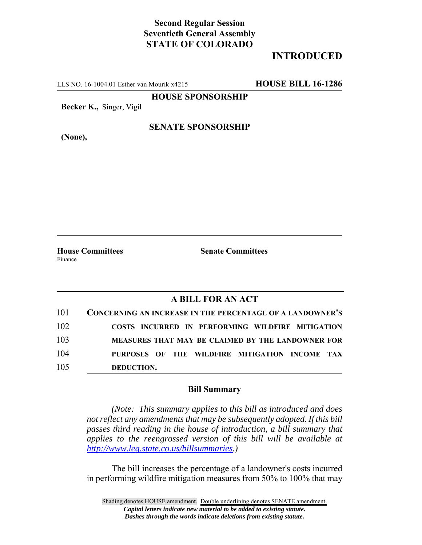# **Second Regular Session Seventieth General Assembly STATE OF COLORADO**

# **INTRODUCED**

LLS NO. 16-1004.01 Esther van Mourik x4215 **HOUSE BILL 16-1286**

**HOUSE SPONSORSHIP**

**Becker K.,** Singer, Vigil

**(None),**

### **SENATE SPONSORSHIP**

Finance

**House Committees Senate Committees** 

### **A BILL FOR AN ACT**

| 101 | <b>CONCERNING AN INCREASE IN THE PERCENTAGE OF A LANDOWNER'S</b> |
|-----|------------------------------------------------------------------|
| 102 | COSTS INCURRED IN PERFORMING WILDFIRE MITIGATION                 |
| 103 | MEASURES THAT MAY BE CLAIMED BY THE LANDOWNER FOR                |
| 104 | PURPOSES OF THE WILDFIRE MITIGATION INCOME TAX                   |
| 105 | DEDUCTION.                                                       |

#### **Bill Summary**

*(Note: This summary applies to this bill as introduced and does not reflect any amendments that may be subsequently adopted. If this bill passes third reading in the house of introduction, a bill summary that applies to the reengrossed version of this bill will be available at http://www.leg.state.co.us/billsummaries.)*

The bill increases the percentage of a landowner's costs incurred in performing wildfire mitigation measures from 50% to 100% that may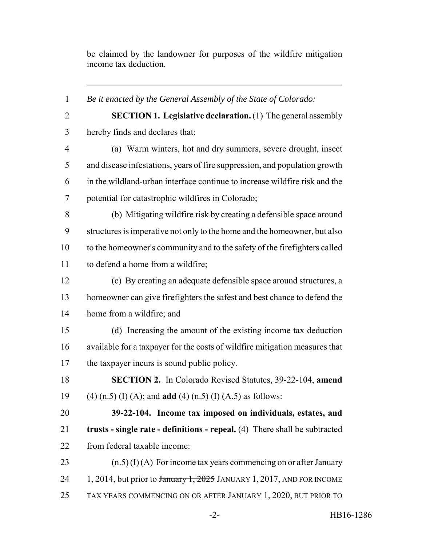be claimed by the landowner for purposes of the wildfire mitigation income tax deduction.

 *Be it enacted by the General Assembly of the State of Colorado:* **SECTION 1. Legislative declaration.** (1) The general assembly hereby finds and declares that: (a) Warm winters, hot and dry summers, severe drought, insect and disease infestations, years of fire suppression, and population growth in the wildland-urban interface continue to increase wildfire risk and the potential for catastrophic wildfires in Colorado; (b) Mitigating wildfire risk by creating a defensible space around structures is imperative not only to the home and the homeowner, but also to the homeowner's community and to the safety of the firefighters called to defend a home from a wildfire; (c) By creating an adequate defensible space around structures, a homeowner can give firefighters the safest and best chance to defend the home from a wildfire; and (d) Increasing the amount of the existing income tax deduction available for a taxpayer for the costs of wildfire mitigation measures that the taxpayer incurs is sound public policy. **SECTION 2.** In Colorado Revised Statutes, 39-22-104, **amend** (4) (n.5) (I) (A); and **add** (4) (n.5) (I) (A.5) as follows: **39-22-104. Income tax imposed on individuals, estates, and trusts - single rate - definitions - repeal.** (4) There shall be subtracted from federal taxable income:  $(n.5)(I)(A)$  For income tax years commencing on or after January 24 1, 2014, but prior to  $\frac{1}{2025}$  JANUARY 1, 2017, AND FOR INCOME TAX YEARS COMMENCING ON OR AFTER JANUARY 1, 2020, BUT PRIOR TO